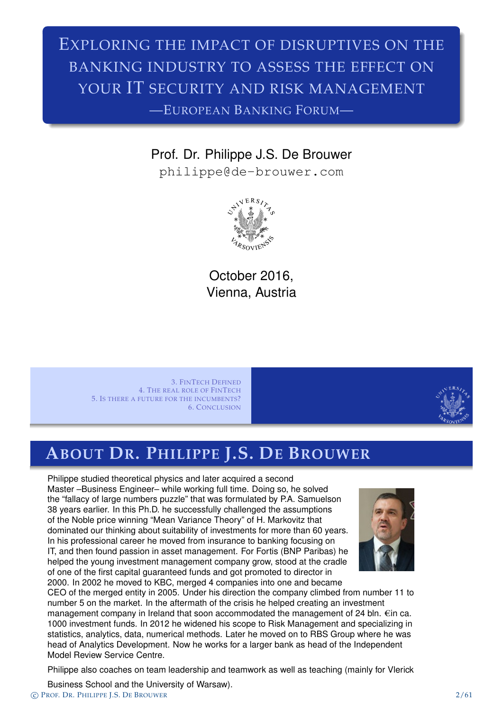### EXPLORING THE IMPACT OF DISRUPTIVES ON THE BANKING INDUSTRY TO ASSESS THE EFFECT ON YOUR IT SECURITY AND RISK MANAGEMENT —EUROPEAN BANKING FORUM—

### Prof. Dr. Philippe J.S. De Brouwer

philippe@de-brouwer.com



October 2016, Vienna, Austria

3. FINTECH DEFINED 4. THE REAL ROLE OF FINTECH 5. IS THERE A FUTURE FOR THE INCUMBENTS? 6. CONCLUSION



### **ABOUT DR. PHILIPPE J.S. DE BROUWER**

Philippe studied theoretical physics and later acquired a second [Master –Business Engineer](#page-3-0)– while working full time. Doing so, he solved [the](#page-14-0)["fallacy](#page-14-0)[of](#page-14-0)[large](#page-14-0)[numbers](#page-14-0) puzzle" that was formulated by P.A. Samuelson [38 years earlier. In this Ph.D](#page-22-0). he successfully challenged the assumptions of the Noble price winning "Mean Variance Theory" of H. Markovitz that dominated our thinking about suitability of investments for more than 60 years. In his professional career he moved from insurance to banking focusing on IT, and then found passion in asset management. For Fortis (BNP Paribas) he helped the young investment management company grow, stood at the cradle of one of the first capital guaranteed funds and got promoted to director in 2000. In 2002 he moved to KBC, merged 4 companies into one and became



CEO of th[e merged entity in 2005. Under his](philippe@de-brouwer.com) direction the company climbed from number 11 to number 5 on the market. In the aftermath of the crisis he helped creating an investment management company in Ireland that soon accommodated the management of 24 bln.  $\epsilon$ in ca. 1000 investment funds. In 2012 he widened his scope to Risk Management and specializing in statistics, analytics, data, numerical methods. Later he moved on to RBS Group where he was head of Analytics Development. Now he works for a larger bank as head of the Independent Model Review Service Centre.

Philippe also coaches on team leadership and teamwork as well as teaching (mainly for Vlerick

Business School and the University of Warsaw). c PROF. DR. PHILIPPE J.S. DE BROUWER 2/61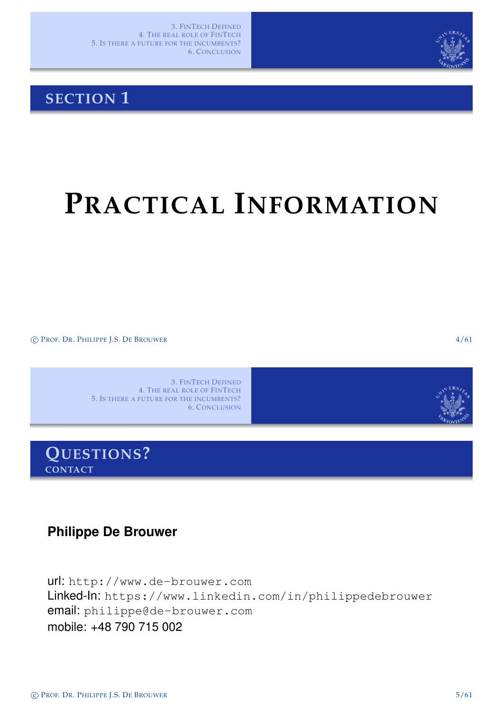

### **SECTION 1**

# **PRACTICAL INFORMATION**

c PROF. DR. PHILIPPE J.S. DE BROUWER 4/61

3. FINTECH DEFINED 4. THE REAL ROLE OF FINTECH 5. IS THERE A FUTURE FOR THE INCUMBENTS? 6. CONCLUSION



**Philippe De Brouwer**

<span id="page-1-0"></span>url: http://www.de-brouwer.com Linked-In: https://www.linkedin.com/in/philippedebrouwer email: [philippe@de-brouwer.com](#page-1-0) [mobile: +48 790 715](http://www.de-brouwer.com) 002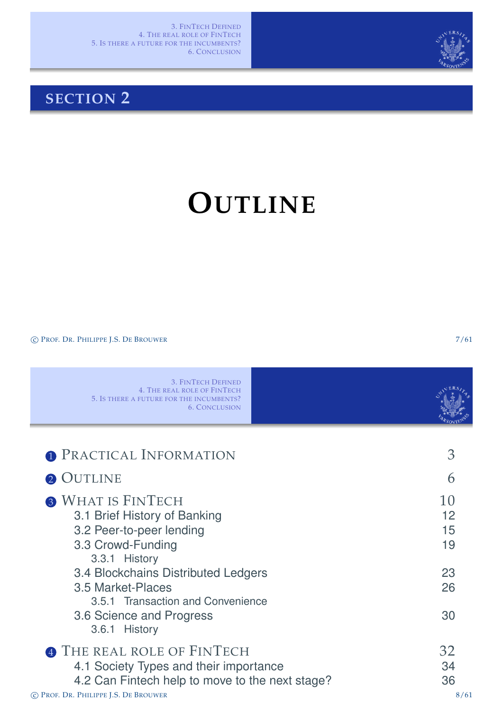

### **SECTION 2**

# **OUTLINE**

C PROF. DR. PHILIPPE J.S. DE BROUWER 7/61

<span id="page-2-0"></span>

| <b>3. FINTECH DEFINED</b><br><b>4. THE REAL ROLE OF FINTECH</b><br>5. IS THERE A FUTURE FOR THE INCUMBENTS?<br><b>6. CONCLUSION</b>                                                                                                                                      |                                        |
|--------------------------------------------------------------------------------------------------------------------------------------------------------------------------------------------------------------------------------------------------------------------------|----------------------------------------|
| <b>O</b> PRACTICAL INFORMATION                                                                                                                                                                                                                                           | 3                                      |
| <b>OUTLINE</b>                                                                                                                                                                                                                                                           | 6                                      |
| <b>3 WHAT IS FINTECH</b><br>3.1 Brief History of Banking<br>3.2 Peer-to-peer lending<br>3.3 Crowd-Funding<br>3.3.1 History<br>3.4 Blockchains Distributed Ledgers<br>3.5 Market-Places<br>3.5.1 Transaction and Convenience<br>3.6 Science and Progress<br>3.6.1 History | 10<br>12<br>15<br>19<br>23<br>26<br>30 |
| THE REAL ROLE OF FINTECH<br>4.1 Society Types and their importance<br>4.2 Can Fintech help to move to the next stage?<br>C PROF. DR. PHILIPPE J.S. DE BROUWER                                                                                                            | 32<br>34<br>36<br>8/61                 |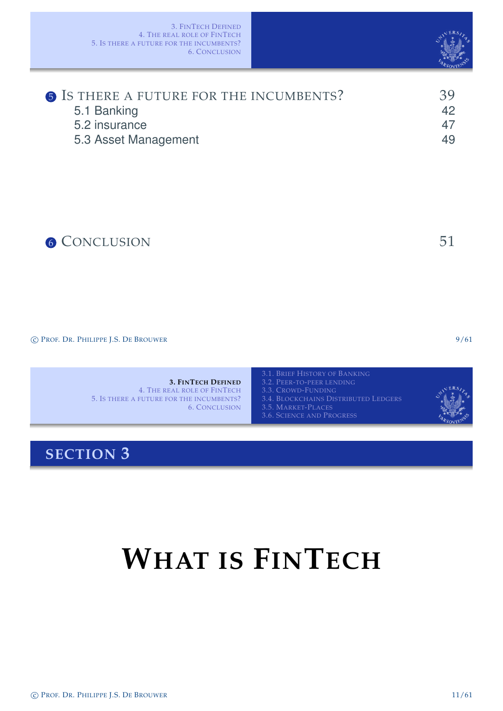| <b>6</b> IS THERE A FUTURE FOR THE INCUMBENTS? | 39 |
|------------------------------------------------|----|
| 5.1 Banking                                    | 42 |
| 5.2 insurance                                  | 47 |
| 5.3 Asset Management                           | 49 |
|                                                |    |

## 6 CONCLUSION 51

c PROF. DR. PHILIPPE J.S. DE BROUWER 9/61

**3. FINTECH DEFINED** 4. THE REAL ROLE OF FINTECH 5. IS THERE A FUTURE FOR THE INCUMBENTS? 6. CONCLUSION

**SECTION 3**

# <span id="page-3-0"></span>**W[HAT IS](#page-21-0) FINTECH**



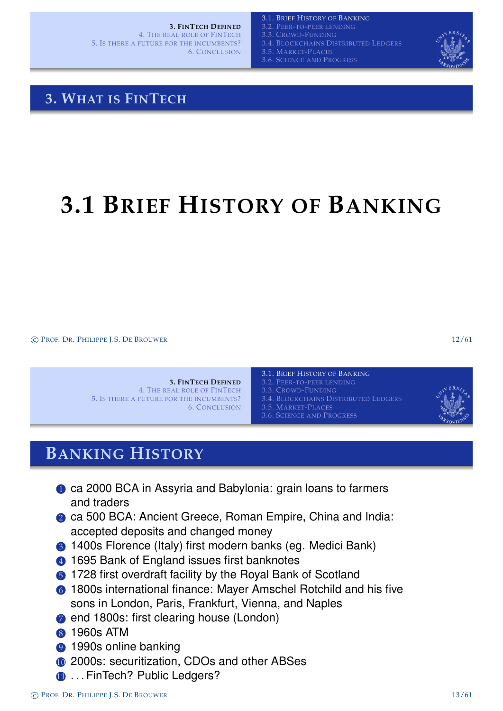**3. FINTECH DEFINED**

4. THE REAL ROLE OF FINTECH 5. IS THERE A FUTURE FOR THE INCUMBENTS? 6. CONCLUSION

3.1. BRIEF HISTORY OF BANKING 3.2. PEER-TO-PEER LENDING 3.3. CROWD-FUNDING 3.4. BLOCKCHAINS DISTRIBUTED LEDGERS

3.5. MARKET-PLACES

3.6. SCIENCE AND PROGRESS



### **3. WHAT IS FINTECH**

# **3.1 BRIEF HISTORY OF BANKING**

c PROF. DR. PHILIPPE J.S. DE BROUWER 12/61

#### **3. FINTECH DEFINED** 4. THE REAL ROLE OF FINTECH 5. IS THERE A FUTURE FOR THE INCUMBENTS? 6. CONCLUSION

3.1. BRIEF HISTORY OF BANKING 3.2. PEER-TO-PEER LENDING 3.4. BLOCKCHAINS DISTRIBUTED LEDGERS 3.5. MARKET-PLACES 3.6. SCIENCE AND PROGRESS



### **BANKING HISTORY**

- **1** [ca 2000 BCA in](#page-3-0) [Assyria and Babylonia: grain l](#page-5-0)oans to farmers [and traders](#page-17-0)
- 2 ca 500 BCA: A[ncient Greece, Roman Empire,](#page-13-0) China and India: accepted deposits and changed money
- <sup>3</sup> [1400s F](#page-3-0)lorence (Italy) first modern banks (eq. Medici Bank)
- 4 1695 Bank of England issues first banknotes
- **6** 1728 first overdraft facility by the Royal Bank of Scotland
- 6 1800s international finance: Mayer Amschel Rotchild and his five sons in London, Paris, Frankfurt, Vienna, and Naples
- **2** [end 1800s: first clearing house \(London\)](#page-4-0)
- 8 1960s ATM
- **9 1990s online banking**
- <sup>10</sup> 2000s: securitization, CDOs and other ABSes
- <span id="page-4-0"></span>**11** ... FinTech? Public Ledgers?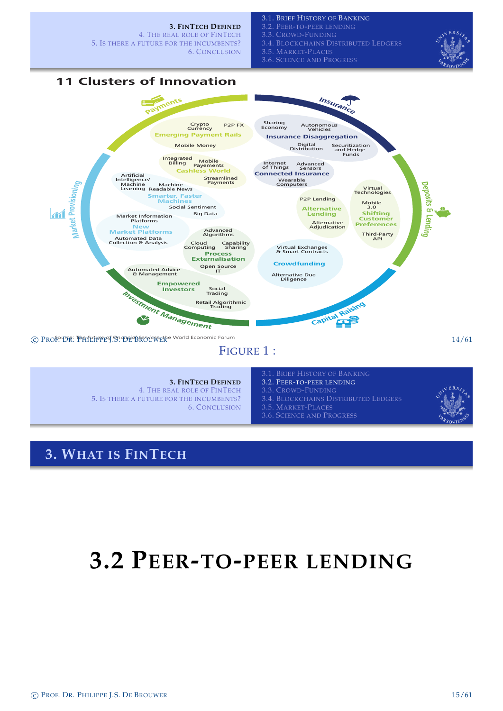**3. FINTECH DEFINED** 4. THE REAL ROLE OF FINTECH 5. IS THERE A FUTURE FOR THE INCUMBENTS? 3.2. PEER-TO-PEER LENDING 3.3. CROWD-FUNDING 3.4. BLOCKCHAINS DISTRIBUTED LEDGERS

6. CONCLUSION

3.5. MARKET-PLACES

3.1. BRIEF HISTORY OF BANKING

3.6. SCIENCE AND PROGRESS



### **11 Clusters of Innovation**



### FIGURE 1 :

#### **3. FINTECH DEFINED** 4. THE REAL ROLE OF FINTECH

5. IS THERE A FUTURE FOR THE INCUMBENTS? 6. CONCLUSION

- 
- 3.2. PEER-TO-PEER LENDING
- 
- 3.4. BLOCKCHAINS DISTRIBUTED LEDGERS
- 3.5. MARKET-PLACES 3.6. SCIENCE AND PROGRESS



### **3. WHAT IS FINTECH**

## <span id="page-5-0"></span>**[3.](#page-3-0)2 PEER-TO-PEER LENDING**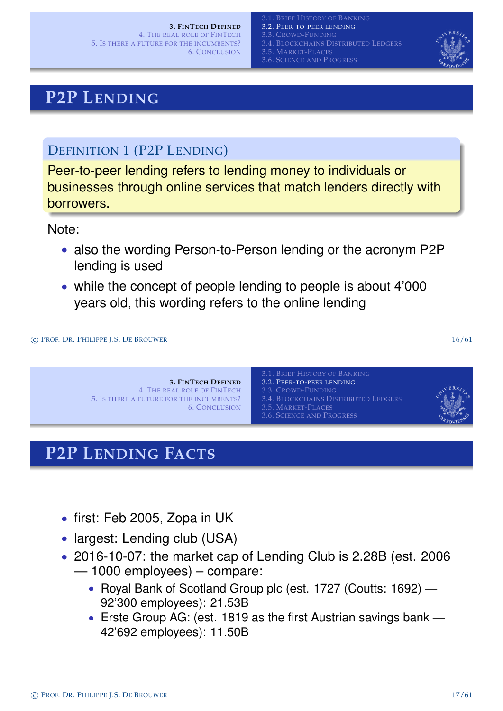6. CONCLUSION

BRIEF HISTORY OF BANKING 3.2. PEER-TO-PEER LENDING 3.3. CROWD-FUNDING 3.4. BLOCKCHAINS DISTRIBUTED LEDGERS 3.5. MARKET-PLACES 3.6. SCIENCE AND PROGRESS



### **P2P LENDING**

### DEFINITION 1 (P2P LENDING)

Peer-to-peer lending refers to lending money to individuals or businesses through online services that match lenders directly with borrowers.

Note:

- also the wording Person-to-Person lending or the acronym P2P lending is used
- while the concept of people lending to people is about 4'000 years old, this wording refers to the online lending

c PROF. DR. PHILIPPE J.S. DE BROUWER 16/61



### **P2P LENDING FACTS**

- [first:](#page-22-0) [Feb](#page-22-0) [200](#page-22-0)[5, Zopa in UK](#page-13-0)
- largest: Lending club (USA)
- 2016-10-07: the market cap of Lending Club is 2.28B (est. 2006
	- 1000 employees) compare:
		- Royal Bank of Scotland Group plc (est. 1727 (Coutts: 1692) 92'300 employees): 21.53B
		- Erste Group AG: (est. 1819 as the first Austrian savings bank 42'692 employees): 11.50B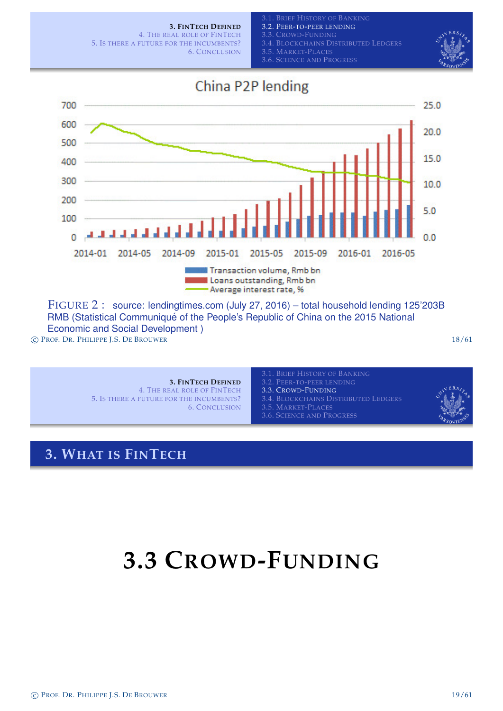

FIGURE 2 : source: lendingtimes.com (July 27, 2016) – total household lending 125'203B RMB (Statistical Communiqué of the People's Republic of China on the 2015 National Economic and Social Development ) c PROF. DR. PHILIPPE J.S. DE BROUWER 18/61

> **3. FINTECH DEFINED** 4. THE REAL ROLE OF FINTECH 5. IS THERE A FUTURE FOR THE INCUMBENTS? 6. CONCLUSION

**3. WHAT IS FINTECH**

3.2. PEER-TO-PEER LENDING 3.3. CROWD-FUNDING 3.4. BLOCKCHAINS DISTRIBUTED LEDGERS 3.5. MARKET-PLACES

#### 3.6. SCIENCE AND PROGRESS

## <span id="page-7-0"></span>**3.3 CROWD-FUNDING**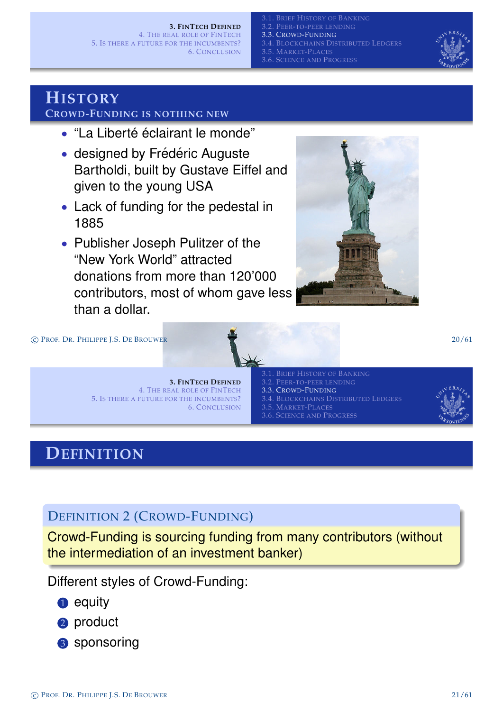#### **3. FINTECH DEFINED**

4. THE REAL ROLE OF FINTECH 5. IS THERE A FUTURE FOR THE INCUMBENTS? 6. CONCLUSION

BRIEF HISTORY OF BANKING 3.2. PEER-TO-PEER LENDING 3.3. CROWD-FUNDING 3.4. BLOCKCHAINS DISTRIBUTED LEDGERS 3.5. MARKET-PLACES 3.6. SCIENCE AND PROGRESS



### **HISTORY**

### **CROWD-FUNDING IS NOTHING NEW**

- "La Liberté éclairant le monde"
- designed by Frédéric Auguste Bartholdi, built by Gustave Eiffel and given to the young USA
- Lack of funding for the pedestal in 1885
- Publisher Joseph Pulitzer of the "New York World" attracted donations from more than 120'000 contributors, most of whom gave less than a dollar.



c PROF. DR. PHILIPPE J.S. DE BROUWER 20/61

#### **3. FINTECH DEFINED** 4. THE REAL ROLE OF FINTECH 5. IS THERE A FUTURE FOR THE INCUMBENTS? 6. CONCLUSION

- 3.2. PEER-TO-PEER LENDING 3.3. CROWD-FUNDING 3.4. BLOCKCHAINS DISTRIBUTED LEDGERS
- 3.5. MARKET-PLACES
- 3.6. SCIENCE AND PROGRESS



### **DEFINITION**

DEFINITION [2](#page-22-0) [\(C](#page-22-0)ROWD[-F](#page-11-0)[UNDING](#page-13-0))

Crowd-Funding is sourcing funding from many contributors (without the intermediation of an investment banker)

Different styles of Crowd-Funding:

- **1** equity
- 2 product
- <span id="page-8-0"></span>3 sponsoring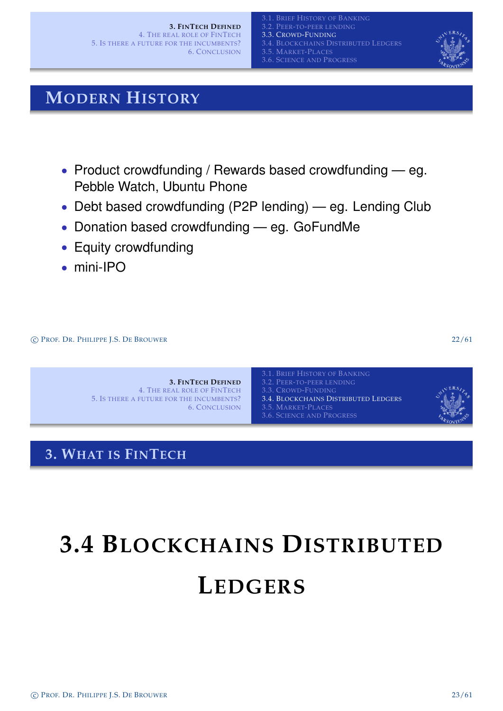**3. FINTECH DEFINED** 4. THE REAL ROLE OF FINTECH 5. IS THERE A FUTURE FOR THE INCUMBENTS? 6. CONCLUSION

3.2. PEER-TO-PEER LENDING 3.3. CROWD-FUNDING 3.4. BLOCKCHAINS DISTRIBUTED LEDGERS 3.5. MARKET-PLACES 3.6. SCIENCE AND PROGRESS



### **MODERN HISTORY**

- Product crowdfunding / Rewards based crowdfunding eg. Pebble Watch, Ubuntu Phone
- Debt based crowdfunding (P2P lending) eg. Lending Club
- Donation based crowdfunding eg. GoFundMe
- Equity crowdfunding
- mini-IPO

c PROF. DR. PHILIPPE J.S. DE BROUWER 22/61

**3. FINTECH DEFINED** 4. THE REAL ROLE OF FINTECH 5. IS THERE A FUTURE FOR THE INCUMBENTS? 6. CONCLUSION

3.2. PEER-TO-PEER LENDING 3.4. BLOCKCHAINS DISTRIBUTED LEDGERS 3.5. MARKET-PLACES 3.6. SCIENCE AND PROGRESS



### **3. WHAT IS FINTECH**

# <span id="page-9-0"></span>**[3.4 B](#page-3-0)LOCKCHAINS DISTRIBUTED L[EDGERS](#page-9-0)**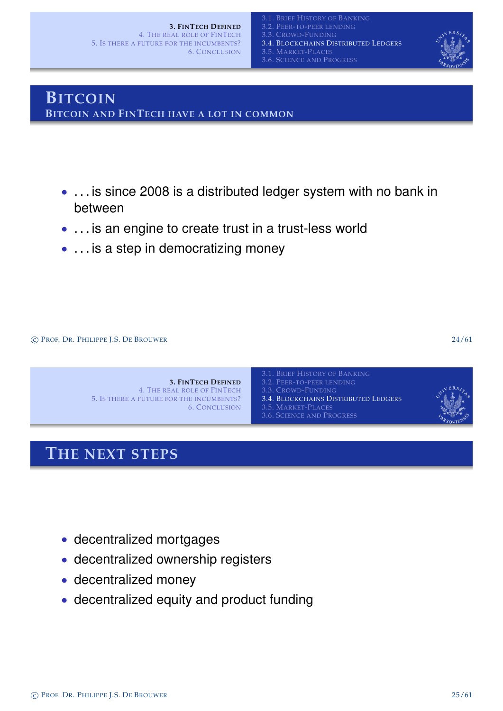

### **BITCOIN BITCOIN AND FINTECH HAVE A LOT IN COMMON**

- . . . is since 2008 is a distributed ledger system with no bank in between
- . . . is an engine to create trust in a trust-less world
- . . . is a step in democratizing money

c PROF. DR. PHILIPPE J.S. DE BROUWER 24/61



### **THE NEXT STEPS**

- decentralized mortgages
- decentralized ownership registers
- decentralized money
- decentralized equity and product funding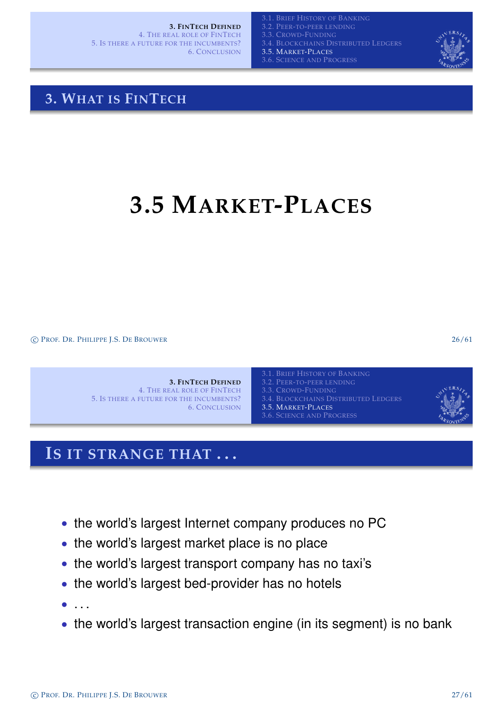**3. FINTECH DEFINED**

4. THE REAL ROLE OF FINTECH 5. IS THERE A FUTURE FOR THE INCUMBENTS? 6. CONCLUSION

3.2. PEER-TO-PEER LENDING 3.4. BLOCKCHAINS DISTRIBUTED LEDGERS 3.5. MARKET-PLACES





### **3. WHAT IS FINTECH**

# **3.5 MARKET-PLACES**

c PROF. DR. PHILIPPE J.S. DE BROUWER 26/61

**3. FINTECH DEFINED** 4. THE REAL ROLE OF FINTECH 5. IS THERE A FUTURE FOR THE INCUMBENTS? 6. CONCLUSION

3.2. PEER-TO-PEER LENDING 3.4. BLOCKCHAINS DISTRIBUTED LEDGERS 3.5. MARKET-PLACES 3.6. SCIENCE AND PROGRESS



### **IS IT STRANGE THAT . . .**

- the world's la[rgest](#page-13-0) [Internet](#page-13-0) [company](#page-13-0) [pro](#page-13-0)duces no PC
- [the wo](#page-3-0)rld's largest market place is no place
- the world's largest transport company has no taxi's
- the world's largest bed-provider has no hotels
- . . .
- <span id="page-11-0"></span>• the [world's largest transactio](#page-11-0)n engine (in its segment) is no bank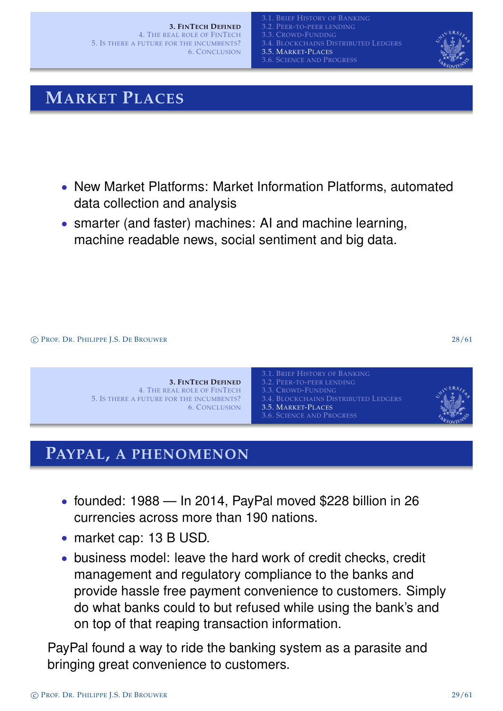

### **MARKET PLACES**

- New Market Platforms: Market Information Platforms, automated data collection and analysis
- smarter (and faster) machines: AI and machine learning, machine readable news, social sentiment and big data.

c PROF. DR. PHILIPPE J.S. DE BROUWER 28/61



### **PAYPAL, A PHENOMENON**

- [founded: 198](#page-17-0)[8 In 2014, PayPal move](#page-9-0)d \$228 billion in 26 currencies a[cross more than 190 nation](#page-13-0)s.
- market cap: 13 B USD.
- business model: leave the hard work of credit checks, credit management and regulatory compliance to the banks and provide hassle free payment convenience to customers. Simply do what banks could to but refused while using the bank's and on top of that reaping transaction information.

<span id="page-12-0"></span>PayPal found a way to ride the banking system as a parasite and bringing great convenience to customers.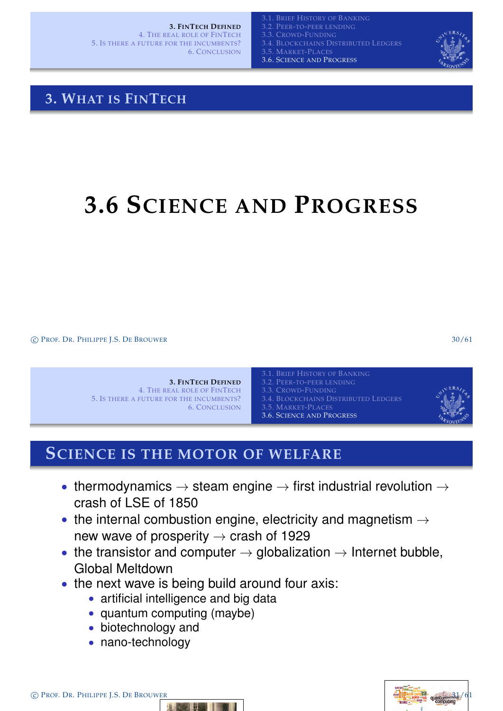**3. FINTECH DEFINED**

4. THE REAL ROLE OF FINTECH 5. IS THERE A FUTURE FOR THE INCUMBENTS? 6. CONCLUSION

**BRIEF HISTORY OF BANKING** PEER-TO-PEER LENDING

3.3. CROWD-FUNDING

3.4. BLOCKCHAINS DISTRIBUTED LEDGERS

3.5. MARKET-PLACES 3.6. SCIENCE AND PROGRESS



### **3. WHAT IS FINTECH**

# **3.6 SCIENCE AND PROGRESS**

c PROF. DR. PHILIPPE J.S. DE BROUWER 30/61

|                                          | 3.1. Brief History of Banking        |  |
|------------------------------------------|--------------------------------------|--|
| <b>3. FINTECH DEFINED</b>                | 3.2. PEER-TO-PEER LENDING            |  |
| 4. THE REAL ROLE OF FINTECH              | 3.3. CROWD-FUNDING                   |  |
| 5. IS THERE A FUTURE FOR THE INCUMBENTS? | 3.4. BLOCKCHAINS DISTRIBUTED LEDGERS |  |
| <b>6. CONCLUSION</b>                     | 3.5. MARKET-PLACES                   |  |
|                                          | 3.6. SCIENCE AND PROGRESS            |  |
|                                          |                                      |  |

### **SCIENCE IS THE MOTOR OF WELFARE**

- [thermodynam](#page-3-0)ics  $\rightarrow$  [steam engine](#page-4-0)  $\rightarrow$  first industrial revolution  $\rightarrow$ [crash of LSE](#page-17-0) [of 1850](#page-9-0)
- the internal c[ombustion engine, electrici](#page-13-0)ty and magnetism  $\rightarrow$ [new w](#page-3-0)ave of prosperity  $\rightarrow$  crash of 1929
- the transistor and computer  $\rightarrow$  globalization  $\rightarrow$  Internet bubble, Global Meltdown
- the next wave is being build around four axis:
	- artificial intelligence and big data
	- [quantum computing \(maybe\)](#page-13-0)
	- biotechnology and
	- nano-technology

C PROF. DR. PHILIPPE J.S. DE BROUWER



<span id="page-13-0"></span>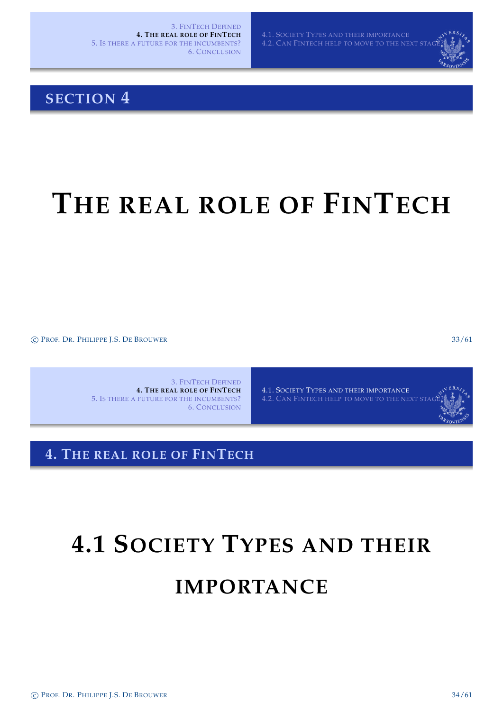4.1. SOCIETY TYPES AND THEIR IMPORTANCE 4.2. CAN FINTECH HELP TO MOVE TO THE NEXT STA

### **SECTION 4**

# **THE REAL ROLE OF FINTECH**

c PROF. DR. PHILIPPE J.S. DE BROUWER 33/61

3. FINTECH DEFINED **4. THE REAL ROLE OF FINTECH** 5. IS THERE A FUTURE FOR THE INCUMBENTS? 6. CONCLUSION

4.1. SOCIETY TYPES AND THEIR IMPORTANCE

**4. THE REAL ROLE OF FINTECH**

# **[4.1 S](#page-14-0)OCIETY TYPES AND THEIR**

### <span id="page-14-0"></span>**[IMPORTAN](#page-14-0)CE**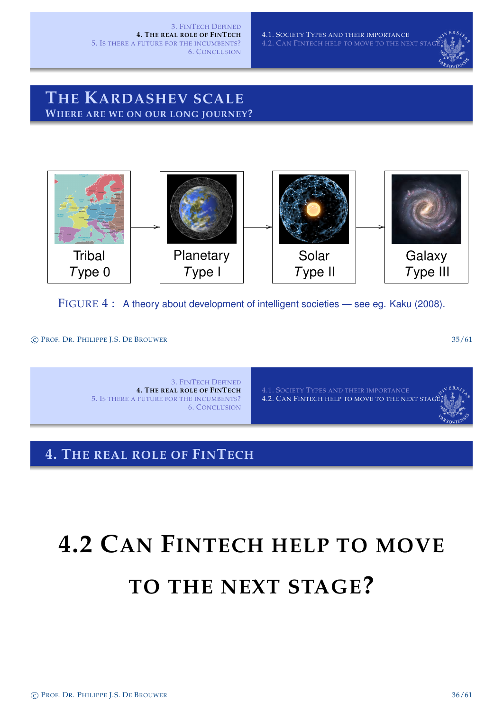4.1. SOCIETY TYPES AND THEIR IMPORTANCE 4.2. CAN FINTECH HELP TO MOVE TO THE NEXT ST

### **THE KARDASHEV SCALE WHERE ARE WE ON OUR LONG JOURNEY?**



FIGURE 4: A theory about development of intelligent societies — see eg. Kaku (2008).

c PROF. DR. PHILIPPE J.S. DE BROUWER 35/61

3. FINTECH DEFINED **4. THE REAL ROLE OF FINTECH** 5. IS THERE A FUTURE FOR THE INCUMBENTS? 6. CONCLUSION

4.1. SOCIETY TYPES AND THEIR IMPORTANCE 4.2. CAN FINTECH HELP TO MOVE TO THE NEXT STAC

### **4. THE REAL ROLE OF FINTECH**

# <span id="page-15-0"></span>**[4.2 C](#page-14-0)AN FINTECH HELP TO MOVE [TO THE NEXT S](#page-15-0)TAGE?**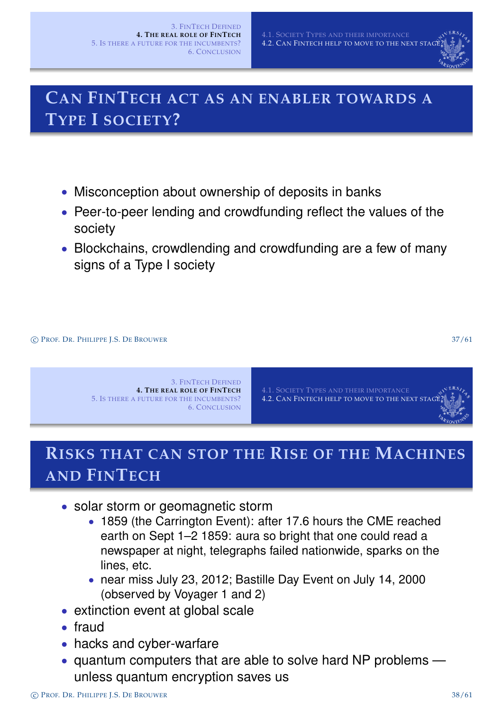

### **CAN FINTECH ACT AS AN ENABLER TOWARDS A TYPE I SOCIETY?**

- Misconception about ownership of deposits in banks
- Peer-to-peer lending and crowdfunding reflect the values of the society
- Blockchains, crowdlending and crowdfunding are a few of many signs of a Type I society

c PROF. DR. PHILIPPE J.S. DE BROUWER 37/61



4.1. SOCIETY TYPES AND THEIR IMPORTANCE 4.2. CAN FINTECH HELP TO MOVE TO THE NEXT STAGE

### **RISKS THAT CAN STOP THE RISE OF THE MACHINES AND FINTECH**

- [solar storm o](#page-22-0)[r geomagnetic storm](#page-15-0)
	- 1859 (the Carrington Event): after 17.6 hours the CME reached earth on Sept 1–2 1859: aura so bright that one could read a newspaper at night, telegraphs failed nationwide, sparks on the lines, etc.
	- near miss July 23, 2012; Bastille Day Event on July 14, 2000 (observed by Voyager 1 and 2)
- extinction event at global scale
- fraud
- hacks and cyber-warfare
- quantum computers that are able to solve hard NP problems unless quantum encryption saves us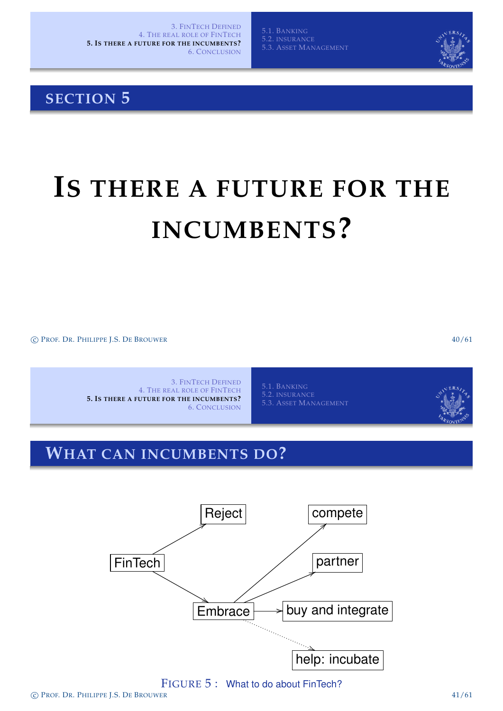5.3. ASSET MANAGEMENT

### **SECTION 5**

# **IS THERE A FUTURE FOR THE INCUMBENTS?**

c PROF. DR. PHILIPPE J.S. DE BROUWER 40/61

3. FINTECH DEFINED 4. THE REAL ROLE OF FINTECH **5. IS THERE A FUTURE FOR THE INCUMBENTS?** 6. CONCLUSION

5.1. BANKING 5.3. ASSET MANAGEMENT

### **WHAT CAN INCUMBENTS DO?**

<span id="page-17-0"></span>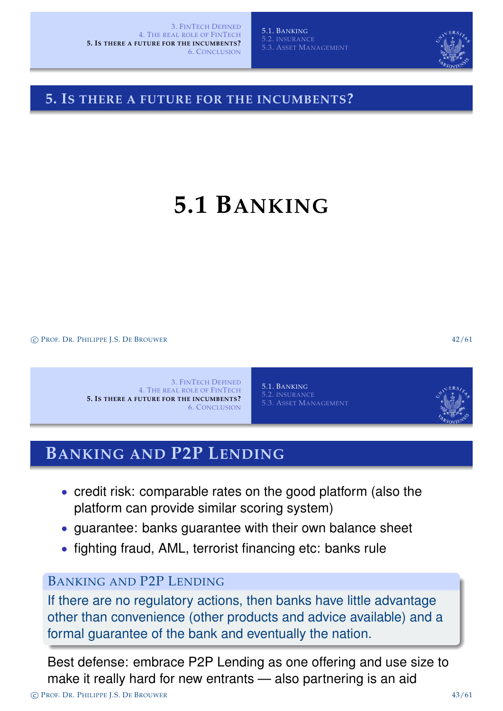

### **5. IS THERE A FUTURE FOR THE INCUMBENTS?**

# **5.1 BANKING**

c PROF. DR. PHILIPPE J.S. DE BROUWER 42/61

3. FINTECH DEFINED 4. THE REAL ROLE OF FINTECH **5. IS THERE A FUTURE FOR THE INCUMBENTS?** 6. CONCLUSION

5.1. BANKING 5.2. INSURANCE 5.3. ASSET MANAGEMENT

### **BANKING AND P2P LENDING**

- [credit risk: co](#page-3-0)[mparable rates on the goo](#page-18-0)d platform (also the [platform can](#page-22-0) [provide similar scoring syst](#page-21-0)em)
- guarantee: banks guarantee with their own balance sheet
- [fighting fraud, AML, terror](#page-17-0)ist financing etc: banks rule

### BANKING AND P2P LENDING

If there are no regulatory actions, then banks have little advantage other than co[nvenience \(oth](#page-18-0)er products and advice available) and a formal guarantee of the bank and eventually the nation.

<span id="page-18-0"></span>Best defense: embrace P2P Lending as one offering and use size to make it really hard for new entrants — also partnering is an aid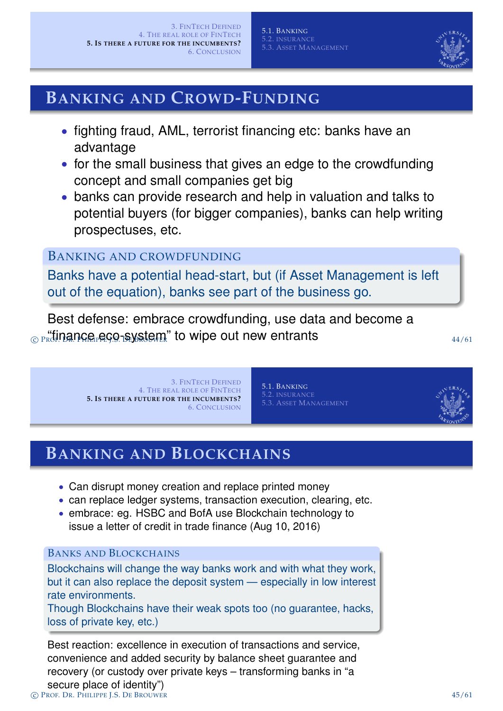

### **BANKING AND CROWD-FUNDING**

- fighting fraud, AML, terrorist financing etc: banks have an advantage
- for the small business that gives an edge to the crowdfunding concept and small companies get big
- banks can provide research and help in valuation and talks to potential buyers (for bigger companies), banks can help writing prospectuses, etc.

### BANKING AND CROWDFUNDING

Banks have a potential head-start, but (if Asset Management is left out of the equation), banks see part of the business go.

Best defense: embrace crowdfunding, use data and become a  $\epsilon_{\rm PFR}$  "finance eco-system" to wipe out new entrants  $\epsilon_{\rm APR}$ 

> 3. FINTECH DEFINED 4. THE REAL ROLE OF FINTECH **5. IS THERE A FUTURE FOR THE INCUMBENTS?** 6. CONCLUSION

5.1. BANKING 5.2. INSURANCE 5.3. ASSET MANAGEMENT

### **BANKING AND BLOCKCHAINS**

- [Can disrupt money](#page-3-0) creation and replace printed money
- [can replace ledge](#page-17-0)[r systems, transaction execution,](#page-20-0) clearing, etc.
- [embrace: eg. HSB](#page-22-0)C and BofA use Blockchain technology to issue a letter of credit in trade finance (Aug 10, 2016)

#### BANKS AND BLOCKCHAINS

Blockchains will change the way banks work and with what they work, but it can also replace the deposit system — especially in low interest rate environments.

Though Blockchains have their weak spots too (no guarantee, hacks, loss of private key, etc.)

Best reaction: excellence in execution of transactions and service, convenience and added security by balance sheet guarantee and recovery (or custody over private keys – transforming banks in "a secure place of identity") c PROF. DR. PHILIPPE J.S. DE BROUWER 45/61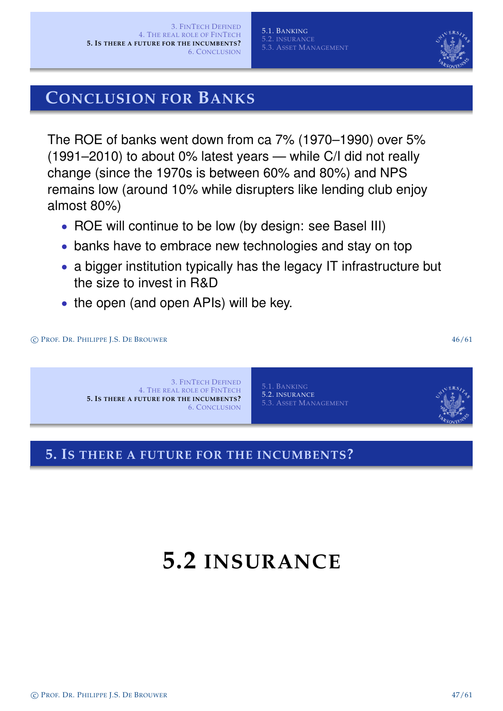### **CONCLUSION FOR BANKS**

The ROE of banks went down from ca 7% (1970–1990) over 5% (1991–2010) to about 0% latest years — while C/I did not really change (since the 1970s is between 60% and 80%) and NPS remains low (around 10% while disrupters like lending club enjoy almost 80%)

- ROE will continue to be low (by design: see Basel III)
- banks have to embrace new technologies and stay on top
- a bigger institution typically has the legacy IT infrastructure but the size to invest in R&D
- the open (and open APIs) will be key.



### **5. IS THERE A FUTURE FOR THE INCUMBENTS?**

## <span id="page-20-0"></span>**[5.2](#page-17-0) INSURANCE**

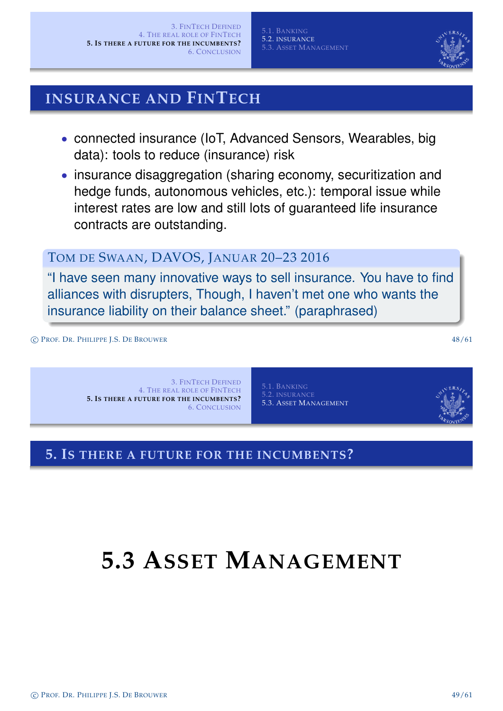### **INSURANCE AND FINTECH**

- connected insurance (IoT, Advanced Sensors, Wearables, big data): tools to reduce (insurance) risk
- insurance disaggregation (sharing economy, securitization and hedge funds, autonomous vehicles, etc.): temporal issue while interest rates are low and still lots of guaranteed life insurance contracts are outstanding.

### TOM DE SWAAN, DAVOS, JANUAR 20–23 2016

"I have seen many innovative ways to sell insurance. You have to find alliances with disrupters, Though, I haven't met one who wants the insurance liability on their balance sheet." (paraphrased)

c PROF. DR. PHILIPPE J.S. DE BROUWER 48/61

3. FINTECH DEFINED 4. THE REAL ROLE OF FINTECH **5. IS THERE A FUTURE FOR THE INCUMBENTS?** 6. CONCLUSION

5.1. BANKING 5.3. ASSET MANAGEMENT

### **5. IS THERE A FUTURE FOR THE INCUMBENTS?**

# <span id="page-21-0"></span>**[5.3](#page-17-0) [A](#page-17-0)SSET MANAGEMENT**

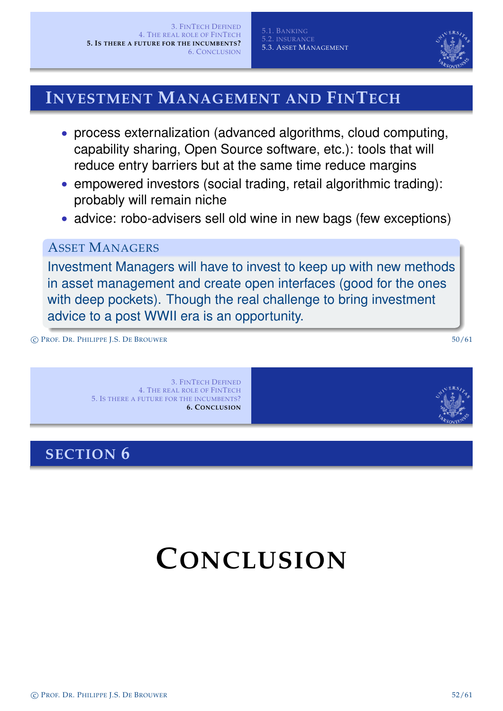

### **INVESTMENT MANAGEMENT AND FINTECH**

- process externalization (advanced algorithms, cloud computing, capability sharing, Open Source software, etc.): tools that will reduce entry barriers but at the same time reduce margins
- empowered investors (social trading, retail algorithmic trading): probably will remain niche
- advice: robo-advisers sell old wine in new bags (few exceptions)

### ASSET MANAGERS

Investment Managers will have to invest to keep up with new methods in asset management and create open interfaces (good for the ones with deep pockets). Though the real challenge to bring investment advice to a post WWII era is an opportunity.

c PROF. DR. PHILIPPE J.S. DE BROUWER 50/61

3. FINTECH DEFINED 4. THE REAL ROLE OF FINTECH 5. IS THERE A FUTURE FOR THE INCUMBENTS? **6. CONCLUSION**

### **SECTION 6**

<span id="page-22-0"></span>

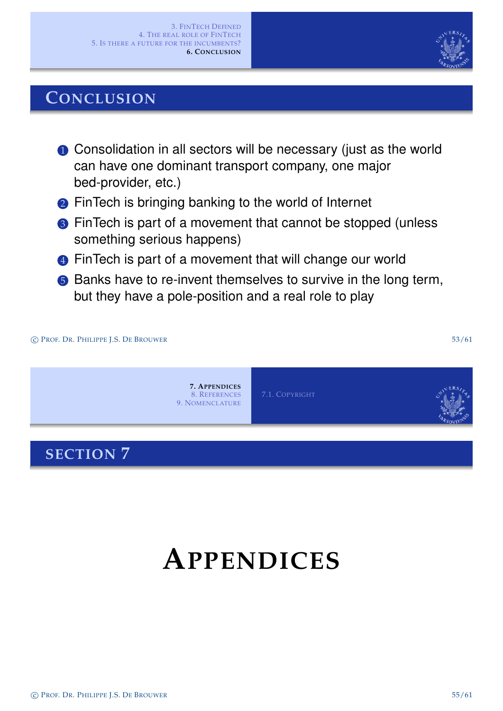### **CONCLUSION**

- **1** Consolidation in all sectors will be necessary (just as the world can have one dominant transport company, one major bed-provider, etc.)
- **2** FinTech is bringing banking to the world of Internet
- <sup>3</sup> FinTech is part of a movement that cannot be stopped (unless something serious happens)
- 4 FinTech is part of a movement that will change our world
- **6** Banks have to re-invent themselves to survive in the long term, but they have a pole-position and a real role to play



# <span id="page-23-0"></span>**APPENDICES**

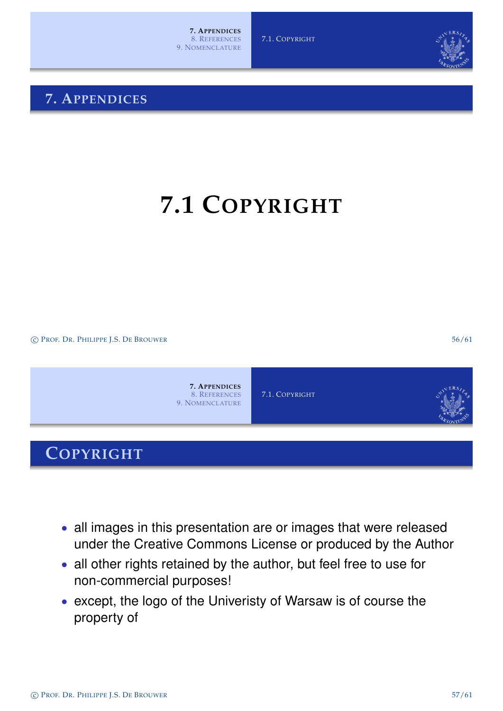### **7. APPENDICES**

# **7.1 COPYRIGHT**

c PROF. DR. PHILIPPE J.S. DE BROUWER 56/61



### **COPYRIGHT**

- all images in this presentation are or images that were released [un](#page-23-0)der the Creative Commons License or produced by the Author
- all other rights retained by the author, but feel free to use for non-commercial purposes!
- <span id="page-24-0"></span>• except, the logo of the Univeristy of Warsaw is of course the propert[y of](#page-24-0)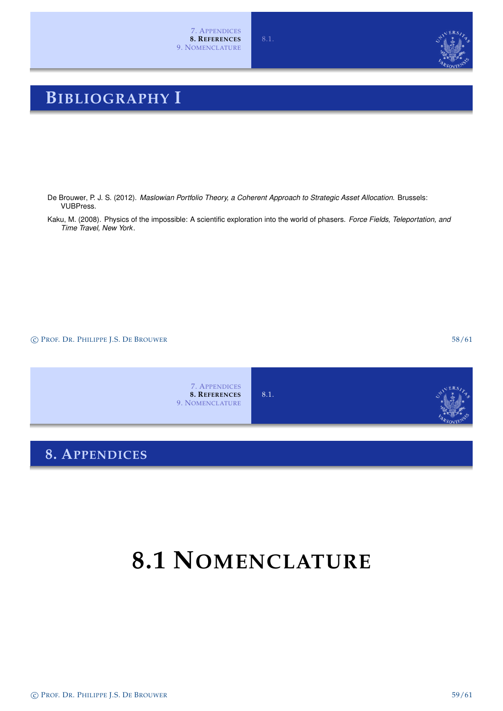### **BIBLIOGRAPHY I**

- De Brouwer, P. J. S. (2012). *Maslowian Portfolio Theory, a Coherent Approach to Strategic Asset Allocation*. Brussels: VUBPress.
- Kaku, M. (2008). Physics of the impossible: A scientific exploration into the world of phasers. *Force Fields, Teleportation, and Time Travel, New York*.

c PROF. DR. PHILIPPE J.S. DE BROUWER 58/61

7. APPENDICES **8. REFERENCES** 9. NOMENCLATURE 8.1.

### **8. APPENDICES**

# **8.1 NOMENCLATURE**